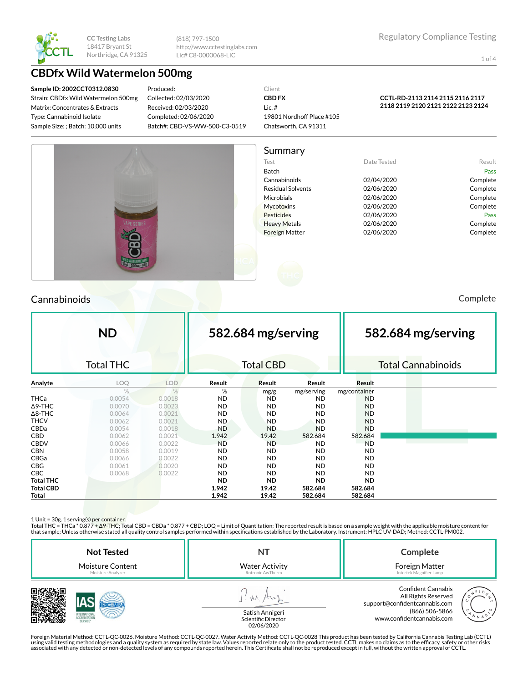

(818) 797-1500 http://www.cctestinglabs.com Lic# C8-0000068-LIC

1 of 4

## **CBDfx Wild Watermelon 500mg**

**Sample ID: 2002CCT0312.0830** Strain: CBDfx Wild Watermelon 500mg Matrix: Concentrates & Extracts Type: Cannabinoid Isolate Sample Size: ; Batch: 10,000 units

Produced: Collected: 02/03/2020 Received: 02/03/2020 Completed: 02/06/2020 Batch#: CBD-VS-WW-500-C3-0519 Client **CBD FX** Lic. # 19801 Nordhoff Place #105 Chatsworth, CA 91311

### **CCTL-RD-2113 2114 2115 2116 2117 2118 2119 2120 2121 2122 2123 2124**



Summary Test **Date Tested** Result Batch Pass Cannabinoids 02/04/2020 Complete Residual Solvents **02/06/2020** Complete Microbials 02/06/2020 Complete Mycotoxins 02/06/2020 Complete Pesticides **Data Pass** 02/06/2020 **Pass** Pass Heavy Metals **Complete** 02/06/2020 Complete Foreign Matter 02/06/2020 Complete

## Cannabinoids Complete

|                  | <b>ND</b>        |            |           | 582.684 mg/serving |            |               | 582.684 mg/serving |                           |
|------------------|------------------|------------|-----------|--------------------|------------|---------------|--------------------|---------------------------|
|                  | <b>Total THC</b> |            |           | <b>Total CBD</b>   |            |               |                    | <b>Total Cannabinoids</b> |
| Analyte          | LOQ              | <b>LOD</b> | Result    | Result             | Result     | <b>Result</b> |                    |                           |
|                  | $\%$             | $\%$       | %         | mg/g               | mg/serving | mg/container  |                    |                           |
| <b>THCa</b>      | 0.0054           | 0.0018     | ND.       | <b>ND</b>          | ND.        | <b>ND</b>     |                    |                           |
| $\Delta$ 9-THC   | 0.0070           | 0.0023     | ND.       | <b>ND</b>          | <b>ND</b>  | <b>ND</b>     |                    |                           |
| $\Delta$ 8-THC   | 0.0064           | 0.0021     | ND.       | <b>ND</b>          | <b>ND</b>  | <b>ND</b>     |                    |                           |
| <b>THCV</b>      | 0.0062           | 0.0021     | ND.       | <b>ND</b>          | <b>ND</b>  | <b>ND</b>     |                    |                           |
| CBDa             | 0.0054           | 0.0018     | <b>ND</b> | <b>ND</b>          | <b>ND</b>  | <b>ND</b>     |                    |                           |
| <b>CBD</b>       | 0.0062           | 0.0021     | 1.942     | 19.42              | 582.684    | 582.684       |                    |                           |
| <b>CBDV</b>      | 0.0066           | 0.0022     | <b>ND</b> | <b>ND</b>          | <b>ND</b>  | <b>ND</b>     |                    |                           |
| <b>CBN</b>       | 0.0058           | 0.0019     | <b>ND</b> | <b>ND</b>          | ND.        | <b>ND</b>     |                    |                           |
| CBGa             | 0.0066           | 0.0022     | ND.       | <b>ND</b>          | <b>ND</b>  | <b>ND</b>     |                    |                           |
| <b>CBG</b>       | 0.0061           | 0.0020     | <b>ND</b> | <b>ND</b>          | <b>ND</b>  | <b>ND</b>     |                    |                           |
| <b>CBC</b>       | 0.0068           | 0.0022     | <b>ND</b> | <b>ND</b>          | ND.        | <b>ND</b>     |                    |                           |
| <b>Total THC</b> |                  |            | <b>ND</b> | <b>ND</b>          | <b>ND</b>  | <b>ND</b>     |                    |                           |
| <b>Total CBD</b> |                  |            | 1.942     | 19.42              | 582.684    | 582.684       |                    |                           |
| Total            |                  |            | 1.942     | 19.42              | 582.684    | 582.684       |                    |                           |

1 Unit = 30g. 1 serving(s) per container.

Total THC = THCa \* 0.877 + ∆9-THC; Total CBD = CBDa \* 0.877 + CBD; LOQ = Limit of Quantitation; The reported result is based on a sample weight with the applicable moisture content for that sample; Unless otherwise stated all quality control samples performed within specifications established by the Laboratory. Instrument: HPLC UV-DAD; Method: CCTL-PM002.

| <b>Not Tested</b><br><b>Moisture Content</b><br>Moisture Analyzer | <b>Water Activity</b><br>Rotronic AwTherm | Complete<br>Foreign Matter<br>Intertek Magnifier Lamp                                                                                     |
|-------------------------------------------------------------------|-------------------------------------------|-------------------------------------------------------------------------------------------------------------------------------------------|
| SERVICE                                                           | Satish Annigeri<br>Scientific Director    | <b>Confident Cannabis</b><br>All Rights Reserved<br>support@confidentcannabis.com<br>(866) 506-5866<br>N N A<br>www.confidentcannabis.com |



Scientific Director<br>02/06/2020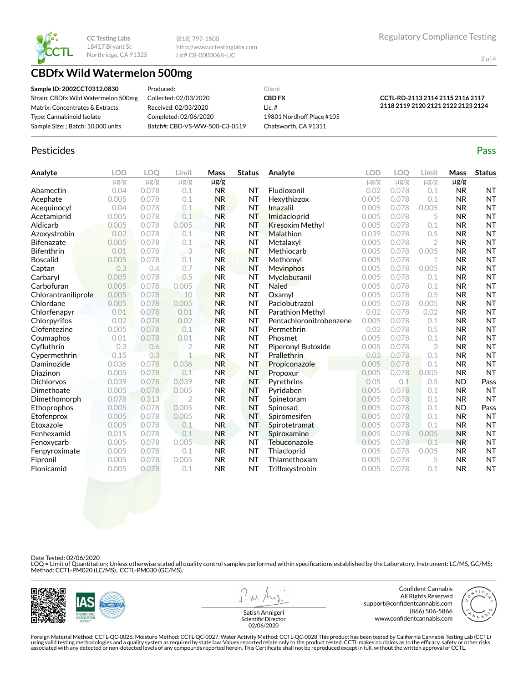

(818) 797-1500 http://www.cctestinglabs.com Lic# C8-0000068-LIC

2 of 4

# **CBDfx Wild Watermelon 500mg**

**Sample ID: 2002CCT0312.0830** Strain: CBDfx Wild Watermelon 500mg Matrix: Concentrates & Extracts Type: Cannabinoid Isolate Sample Size: ; Batch: 10,000 units

Produced: Collected: 02/03/2020 Received: 02/03/2020 Completed: 02/06/2020 Batch#: CBD-VS-WW-500-C3-0519

**CBD FX** Lic. # 19801 Nordhoff Place #105 Chatsworth, CA 91311

Client

#### **CCTL-RD-2113 2114 2115 2116 2117 2118 2119 2120 2121 2122 2123 2124**

# Pesticides **Passage Contract Contract Contract Contract Contract Contract Contract Contract Contract Contract Contract Contract Contract Contract Contract Contract Contract Contract Contract Contract Contract Contract Cont**

| Analyte             | <b>LOD</b> | LOO       | Limit          | Mass      | <b>Status</b> | Analyte                 | LOD       | LOO       | Limit          | Mass      | <b>Status</b> |
|---------------------|------------|-----------|----------------|-----------|---------------|-------------------------|-----------|-----------|----------------|-----------|---------------|
|                     | $\mu$ g/g  | $\mu$ g/g | $\mu$ g/g      | $\mu$ g/g |               |                         | $\mu$ g/g | $\mu$ g/g | $\mu$ g/g      | $\mu$ g/g |               |
| Abamectin           | 0.04       | 0.078     | 0.1            | <b>NR</b> | <b>NT</b>     | Fludioxonil             | 0.02      | 0.078     | 0.1            | <b>NR</b> | <b>NT</b>     |
| Acephate            | 0.005      | 0.078     | 0.1            | <b>NR</b> | <b>NT</b>     | Hexythiazox             | 0.005     | 0.078     | 0.1            | <b>NR</b> | <b>NT</b>     |
| Acequinocyl         | 0.04       | 0.078     | 0.1            | <b>NR</b> | <b>NT</b>     | Imazalil                | 0.005     | 0.078     | 0.005          | <b>NR</b> | <b>NT</b>     |
| Acetamiprid         | 0.005      | 0.078     | 0.1            | <b>NR</b> | <b>NT</b>     | Imidacloprid            | 0.005     | 0.078     | 5              | <b>NR</b> | <b>NT</b>     |
| Aldicarb            | 0.005      | 0.078     | 0.005          | <b>NR</b> | <b>NT</b>     | <b>Kresoxim Methyl</b>  | 0.005     | 0.078     | 0.1            | <b>NR</b> | <b>NT</b>     |
| Azoxystrobin        | 0.02       | 0.078     | 0.1            | <b>NR</b> | NT            | Malathion               | 0.039     | 0.078     | 0.5            | <b>NR</b> | <b>NT</b>     |
| <b>Bifenazate</b>   | 0.005      | 0.078     | 0.1            | <b>NR</b> | <b>NT</b>     | Metalaxyl               | 0.005     | 0.078     | $\overline{2}$ | <b>NR</b> | <b>NT</b>     |
| <b>Bifenthrin</b>   | 0.01       | 0.078     | 3<br>W         | <b>NR</b> | <b>NT</b>     | Methiocarb              | 0.005     | 0.078     | 0.005          | <b>NR</b> | <b>NT</b>     |
| <b>Boscalid</b>     | 0.005      | 0.078     | 0.1            | <b>NR</b> | <b>NT</b>     | Methomyl                | 0.005     | 0.078     | 1              | <b>NR</b> | <b>NT</b>     |
| Captan              | 0.3        | 0.4       | 0.7            | <b>NR</b> | <b>NT</b>     | Mevinphos               | 0.005     | 0.078     | 0.005          | <b>NR</b> | <b>NT</b>     |
| Carbaryl            | 0.005      | 0.078     | 0.5            | <b>NR</b> | <b>NT</b>     | Myclobutanil            | 0.005     | 0.078     | 0.1            | <b>NR</b> | <b>NT</b>     |
| Carbofuran          | 0.005      | 0.078     | 0.005          | <b>NR</b> | <b>NT</b>     | Naled                   | 0.005     | 0.078     | 0.1            | <b>NR</b> | <b>NT</b>     |
| Chlorantraniliprole | 0.005      | 0.078     | 10             | <b>NR</b> | <b>NT</b>     | Oxamyl                  | 0.005     | 0.078     | 0.5            | <b>NR</b> | <b>NT</b>     |
| Chlordane           | 0.005      | 0.078     | 0.005          | <b>NR</b> | <b>NT</b>     | Paclobutrazol           | 0.005     | 0.078     | 0.005          | <b>NR</b> | <b>NT</b>     |
| Chlorfenapyr        | 0.01       | 0.078     | 0.01           | <b>NR</b> | <b>NT</b>     | Parathion Methyl        | 0.02      | 0.078     | 0.02           | <b>NR</b> | <b>NT</b>     |
| Chlorpyrifos        | 0.02       | 0.078     | 0.02           | <b>NR</b> | <b>NT</b>     | Pentachloronitrobenzene | 0.005     | 0.078     | 0.1            | <b>NR</b> | <b>NT</b>     |
| Clofentezine        | 0.005      | 0.078     | 0.1            | <b>NR</b> | <b>NT</b>     | Permethrin              | 0.02      | 0.078     | 0.5            | <b>NR</b> | <b>NT</b>     |
| Coumaphos           | 0.01       | 0.078     | 0.01           | <b>NR</b> | <b>NT</b>     | Phosmet                 | 0.005     | 0.078     | 0.1            | <b>NR</b> | <b>NT</b>     |
| Cyfluthrin          | 0.3        | 0.6       | $\overline{2}$ | <b>NR</b> | <b>NT</b>     | Piperonyl Butoxide      | 0.005     | 0.078     | 3              | <b>NR</b> | <b>NT</b>     |
| Cypermethrin        | 0.15       | 0.3       | $\mathbf{1}$   | <b>NR</b> | <b>NT</b>     | Prallethrin             | 0.03      | 0.078     | 0.1            | <b>NR</b> | <b>NT</b>     |
| Daminozide          | 0.036      | 0.078     | 0.036          | <b>NR</b> | <b>NT</b>     | Propiconazole           | 0.005     | 0.078     | 0.1            | <b>NR</b> | <b>NT</b>     |
| Diazinon            | 0.005      | 0.078     | 0.1            | <b>NR</b> | <b>NT</b>     | Propoxur                | 0.005     | 0.078     | 0.005          | <b>NR</b> | <b>NT</b>     |
| <b>Dichlorvos</b>   | 0.039      | 0.078     | 0.039          | <b>NR</b> | <b>NT</b>     | Pyrethrins              | 0.05      | 0.1       | 0.5            | <b>ND</b> | Pass          |
| Dimethoate          | 0.005      | 0.078     | 0.005          | <b>NR</b> | <b>NT</b>     | Pyridaben               | 0.005     | 0.078     | 0.1            | <b>NR</b> | <b>NT</b>     |
| Dimethomorph        | 0.078      | 0.313     | $\overline{2}$ | <b>NR</b> | <b>NT</b>     | Spinetoram              | 0.005     | 0.078     | 0.1            | <b>NR</b> | <b>NT</b>     |
| Ethoprophos         | 0.005      | 0.078     | 0.005          | <b>NR</b> | <b>NT</b>     | Spinosad                | 0.005     | 0.078     | 0.1            | <b>ND</b> | Pass          |
| Etofenprox          | 0.005      | 0.078     | 0.005          | <b>NR</b> | <b>NT</b>     | Spiromesifen            | 0.005     | 0.078     | 0.1            | <b>NR</b> | <b>NT</b>     |
| Etoxazole           | 0.005      | 0.078     | 0.1            | <b>NR</b> | <b>NT</b>     | Spirotetramat           | 0.005     | 0.078     | 0.1            | <b>NR</b> | <b>NT</b>     |
| Fenhexamid          | 0.015      | 0.078     | 0.1            | <b>NR</b> | <b>NT</b>     | Spiroxamine             | 0.005     | 0.078     | 0.005          | <b>NR</b> | <b>NT</b>     |
| Fenoxycarb          | 0.005      | 0.078     | 0.005          | <b>NR</b> | <b>NT</b>     | Tebuconazole            | 0.005     | 0.078     | 0.1            | <b>NR</b> | <b>NT</b>     |
| Fenpyroximate       | 0.005      | 0.078     | 0.1            | <b>NR</b> | <b>NT</b>     | Thiacloprid             | 0.005     | 0.078     | 0.005          | <b>NR</b> | <b>NT</b>     |
| Fipronil            | 0.005      | 0.078     | 0.005          | <b>NR</b> | <b>NT</b>     | Thiamethoxam            | 0.005     | 0.078     | 5              | <b>NR</b> | <b>NT</b>     |
| Flonicamid          | 0.005      | 0.078     | 0.1            | <b>NR</b> | <b>NT</b>     | Trifloxystrobin         | 0.005     | 0.078     | 0.1            | <b>NR</b> | <b>NT</b>     |

Date Tested: 02/06/2020

LOQ = Limit of Quantitation; Unless otherwise stated all quality control samples performed within specifications established by the Laboratory. Instrument: LC/MS, GC/MS;<br>Method: CCTL-PM020 (LC/MS), CCTL-PM030 (GC/MS).



 $\lambda$ 

Confident Cannabis All Rights Reserved support@confidentcannabis.com (866) 506-5866 www.confidentcannabis.com



Satish Annigeri Scientific Director 02/06/2020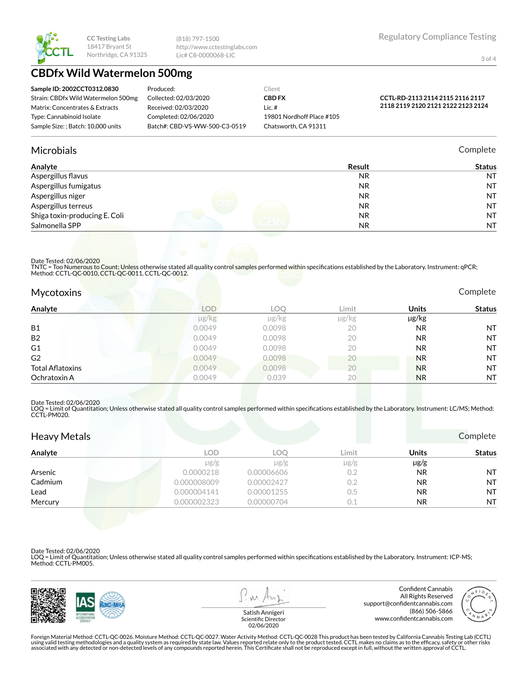

(818) 797-1500 http://www.cctestinglabs.com Lic# C8-0000068-LIC

3 of 4

# **CBDfx Wild Watermelon 500mg**

| Sample ID: 2002CCT0312.0830         | Produced:                     | Client                    |                                    |
|-------------------------------------|-------------------------------|---------------------------|------------------------------------|
| Strain: CBDfx Wild Watermelon 500mg | Collected: 02/03/2020         | <b>CBD FX</b>             | CCTL-RD-2113 2114 2115 2116 2117   |
| Matrix: Concentrates & Extracts     | Received: 02/03/2020          | Lic.#                     | 2118 2119 2120 2121 2122 2123 2124 |
| Type: Cannabinoid Isolate           | Completed: 02/06/2020         | 19801 Nordhoff Place #105 |                                    |
| Sample Size:: Batch: 10.000 units   | Batch#: CBD-VS-WW-500-C3-0519 | Chatsworth, CA 91311      |                                    |

## Microbials Complete

| Analyte                       | Result    | <b>Status</b> |
|-------------------------------|-----------|---------------|
| Aspergillus flavus            | <b>NR</b> | <b>NT</b>     |
| Aspergillus fumigatus         | <b>NR</b> | <b>NT</b>     |
| Aspergillus niger             | <b>NR</b> | <b>NT</b>     |
| Aspergillus terreus           | <b>NR</b> | <b>NT</b>     |
| Shiga toxin-producing E. Coli | NR.       | <b>NT</b>     |
| Salmonella SPP                | NR.       | <b>NT</b>     |

### Date Tested: 02/06/2020

TNTC = Too Numerous to Count; Unless otherwise stated all quality control samples performed within specifications established by the Laboratory. Instrument: qPCR; Method: CCTL-QC-0010, CCTL-QC-0011, CCTL-QC-0012.

| <b>Mycotoxins</b>       |                      |        | _____ |              | Complete      |
|-------------------------|----------------------|--------|-------|--------------|---------------|
| Analyte                 | <b>LOD</b>           | LOO    | Limit | <b>Units</b> | <b>Status</b> |
|                         | $\mu$ g/ $\text{kg}$ | µg/kg  | µg/kg | µg/kg        |               |
| <b>B1</b>               | 0.0049               | 0.0098 | 20    | NR.          | <b>NT</b>     |
| <b>B2</b>               | 0.0049               | 0.0098 | 20    | NR.          | <b>NT</b>     |
| G1                      | 0.0049               | 0.0098 | 20    | <b>NR</b>    | <b>NT</b>     |
| G <sub>2</sub>          | 0.0049               | 0.0098 | 20    | <b>NR</b>    | <b>NT</b>     |
| <b>Total Aflatoxins</b> | 0.0049               | 0.0098 | 20    | <b>NR</b>    | <b>NT</b>     |
| Ochratoxin A            | 0.0049               | 0.039  | 20    | <b>NR</b>    | <b>NT</b>     |

#### Date Tested: 02/06/2020

LOQ = Limit of Quantitation; Unless otherwise stated all quality control samples performed within specifications established by the Laboratory. Instrument: LC/MS; Method:<br>CCTL-PM020.

| <b>Heavy Metals</b> |             |            |           |              | Complete      |
|---------------------|-------------|------------|-----------|--------------|---------------|
| Analyte             | <b>LOD</b>  | LOO        | Limit     | <b>Units</b> | <b>Status</b> |
|                     | $\mu$ g/g   | $\mu$ g/g  | $\mu$ g/g | $\mu$ g/g    |               |
| Arsenic             | 0.0000218   | 0.00006606 | 0.2       | <b>NR</b>    | <b>NT</b>     |
| Cadmium             | 0.000008009 | 0.00002427 | 0.2       | <b>NR</b>    | <b>NT</b>     |
| Lead                | 0.000004141 | 0.00001255 | $0.5\,$   | <b>NR</b>    | <b>NT</b>     |
| Mercury             | 0.000002323 | 0.00000704 | 0.1       | NR.          | <b>NT</b>     |

Date Tested: 02/06/2020

LOQ = Limit of Quantitation; Unless otherwise stated all quality control samples performed within specifications established by the Laboratory. Instrument: ICP-MS; Method: CCTL-PM005.



 $\lambda$ 

Confident Cannabis All Rights Reserved support@confidentcannabis.com (866) 506-5866 www.confidentcannabis.com



Satish Annigeri Scientific Director 02/06/2020